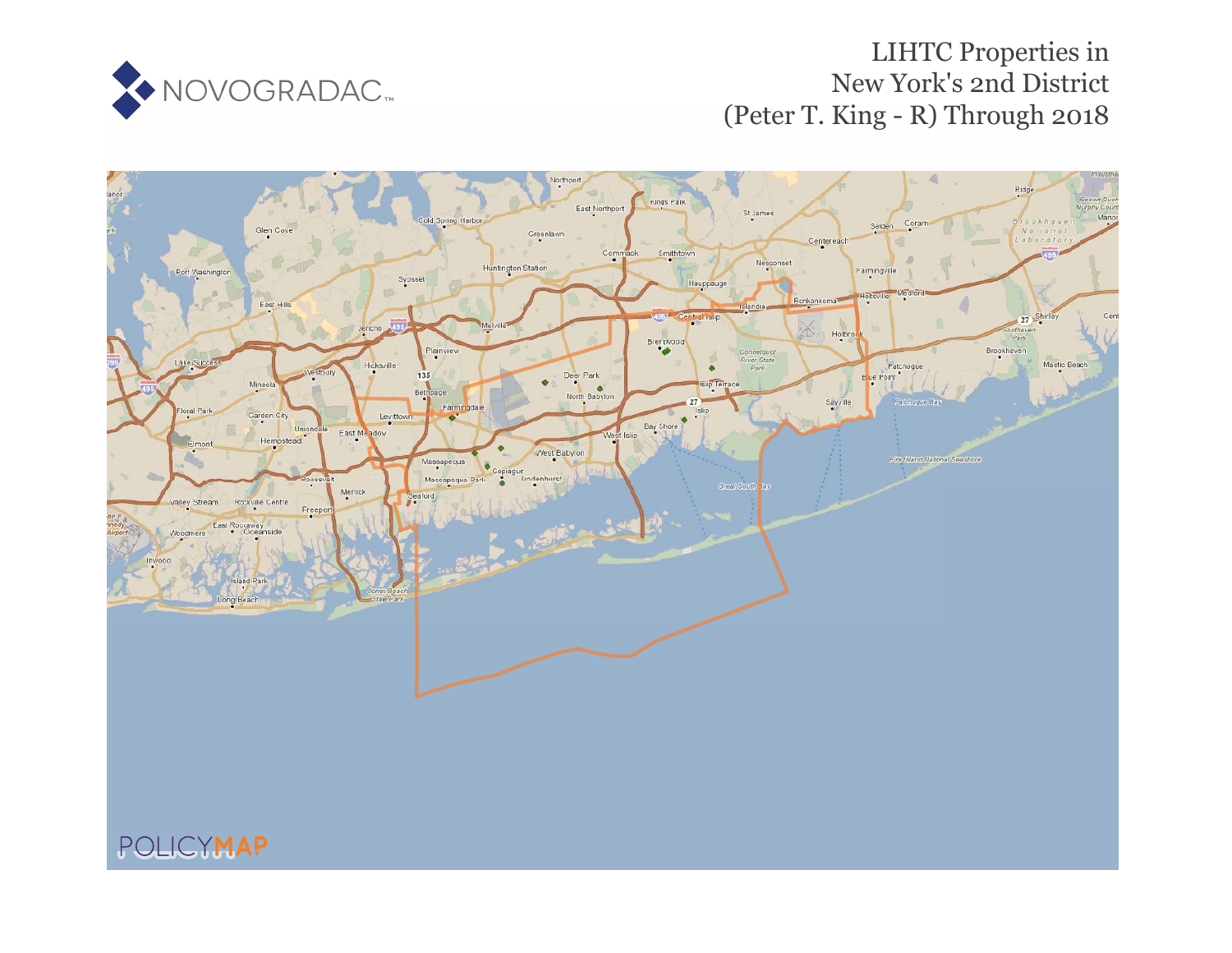

## LIHTC Properties in New York's 2nd District (Peter T. King - R) Through 2018

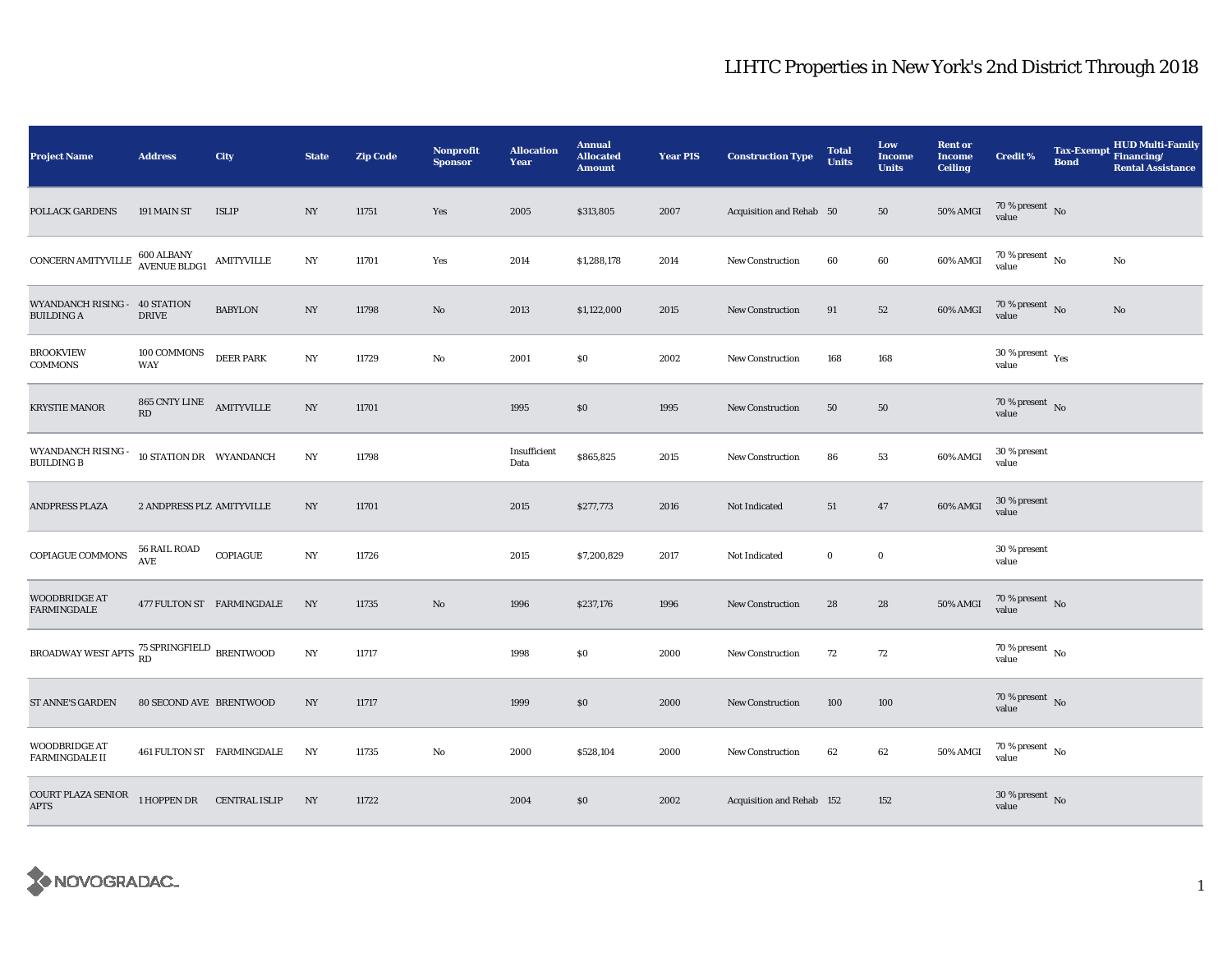## LIHTC Properties in New York's 2nd District Through 2018

| <b>Project Name</b>                                   | <b>Address</b>                    | <b>City</b>               | <b>State</b>     | <b>Zip Code</b> | Nonprofit<br><b>Sponsor</b> | <b>Allocation</b><br>Year | <b>Annual</b><br><b>Allocated</b><br><b>Amount</b> | <b>Year PIS</b> | <b>Construction Type</b>  | <b>Total</b><br><b>Units</b> | Low<br><b>Income</b><br><b>Units</b> | <b>Rent or</b><br><b>Income</b><br><b>Ceiling</b> | <b>Credit %</b>                          | <b>Bond</b> | <b>HUD Multi-Family</b><br>Tax-Exempt Financing/<br><b>Rental Assistance</b> |
|-------------------------------------------------------|-----------------------------------|---------------------------|------------------|-----------------|-----------------------------|---------------------------|----------------------------------------------------|-----------------|---------------------------|------------------------------|--------------------------------------|---------------------------------------------------|------------------------------------------|-------------|------------------------------------------------------------------------------|
| <b>POLLACK GARDENS</b>                                | 191 MAIN ST                       | <b>ISLIP</b>              | NY               | 11751           | Yes                         | 2005                      | \$313,805                                          | 2007            | Acquisition and Rehab 50  |                              | 50                                   | <b>50% AMGI</b>                                   | $70\,\%$ present $\,$ No value           |             |                                                                              |
| CONCERN AMITYVILLE                                    | 600 ALBANY<br>AVENUE BLDG1        | <b>AMITYVILLE</b>         | NY               | 11701           | Yes                         | 2014                      | \$1,288,178                                        | 2014            | <b>New Construction</b>   | 60                           | 60                                   | 60% AMGI                                          | $70\%$ present $\overline{N_0}$<br>value |             | No                                                                           |
| WYANDANCH RISING - 40 STATION<br><b>BUILDING A</b>    | <b>DRIVE</b>                      | <b>BABYLON</b>            | NY               | 11798           | $\mathbf{N}\mathbf{o}$      | 2013                      | \$1,122,000                                        | 2015            | New Construction          | 91                           | $52\,$                               | 60% AMGI                                          | $70\,\%$ present $\,$ No value           |             | No                                                                           |
| <b>BROOKVIEW</b><br><b>COMMONS</b>                    | 100 COMMONS<br>WAY                | <b>DEER PARK</b>          | NY               | 11729           | No                          | 2001                      | \$0                                                | 2002            | New Construction          | 168                          | 168                                  |                                                   | $30$ % present $\,$ $\rm Yes$<br>value   |             |                                                                              |
| <b>KRYSTIE MANOR</b>                                  | 865 CNTY LINE AMITYVILLE<br>RD    |                           | NY               | 11701           |                             | 1995                      | \$0                                                | 1995            | <b>New Construction</b>   | 50                           | 50                                   |                                                   | $70\,\%$ present $\,$ No value           |             |                                                                              |
| WYANDANCH RISING -<br><b>BUILDING B</b>               | 10 STATION DR WYANDANCH           |                           | NY               | 11798           |                             | Insufficient<br>Data      | \$865,825                                          | 2015            | <b>New Construction</b>   | 86                           | 53                                   | 60% AMGI                                          | 30 % present<br>value                    |             |                                                                              |
| ANDPRESS PLAZA                                        | 2 ANDPRESS PLZ AMITYVILLE         |                           | NY               | 11701           |                             | 2015                      | \$277,773                                          | 2016            | Not Indicated             | 51                           | 47                                   | 60% AMGI                                          | 30 % present<br>value                    |             |                                                                              |
| COPIAGUE COMMONS                                      | <b>56 RAIL ROAD</b><br><b>AVE</b> | COPIAGUE                  | $_{\mathrm{NY}}$ | 11726           |                             | 2015                      | \$7,200,829                                        | 2017            | Not Indicated             | $\bf{0}$                     | $\mathbf 0$                          |                                                   | 30 % present<br>value                    |             |                                                                              |
| <b>WOODBRIDGE AT</b><br><b>FARMINGDALE</b>            |                                   | 477 FULTON ST FARMINGDALE | NY               | 11735           | No                          | 1996                      | \$237,176                                          | 1996            | New Construction          | 28                           | 28                                   | <b>50% AMGI</b>                                   | $70\,\%$ present $\,$ No value           |             |                                                                              |
| BROADWAY WEST APTS $^{75}_{RD}$ SPRINGFIELD BRENTWOOD |                                   |                           | $_{\mathrm{NY}}$ | 11717           |                             | 1998                      | \$0                                                | 2000            | <b>New Construction</b>   | 72                           | 72                                   |                                                   | 70 % present $\hbox{~No}$<br>value       |             |                                                                              |
| <b>ST ANNE'S GARDEN</b>                               | <b>80 SECOND AVE BRENTWOOD</b>    |                           | NY               | 11717           |                             | 1999                      | $\$0$                                              | 2000            | <b>New Construction</b>   | 100                          | 100                                  |                                                   | $70\,\%$ present $\,$ No value           |             |                                                                              |
| <b>WOODBRIDGE AT</b><br><b>FARMINGDALE II</b>         |                                   | 461 FULTON ST FARMINGDALE | NY               | 11735           | $\rm No$                    | 2000                      | \$528,104                                          | 2000            | New Construction          | 62                           | 62                                   | 50% AMGI                                          | $70\,\%$ present $\,$ No value           |             |                                                                              |
| COURT PLAZA SENIOR<br><b>APTS</b>                     | 1 HOPPEN DR CENTRAL ISLIP         |                           | NY               | 11722           |                             | 2004                      | \$0                                                | 2002            | Acquisition and Rehab 152 |                              | 152                                  |                                                   | $30$ % present $\,$ No value             |             |                                                                              |